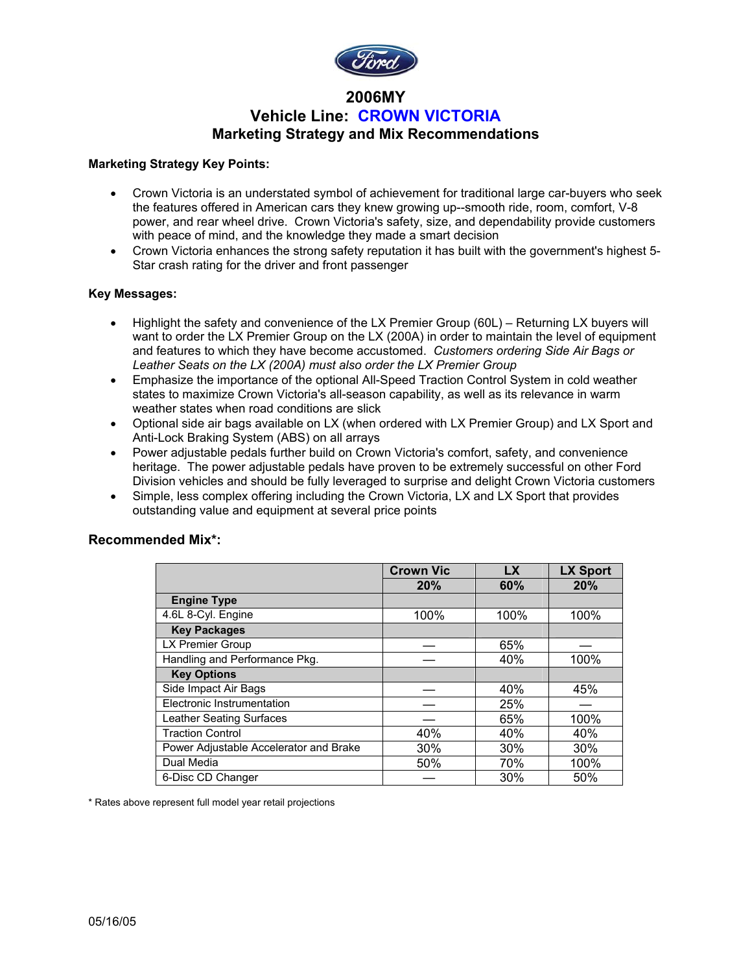

## **2006MY Vehicle Line: CROWN VICTORIA Marketing Strategy and Mix Recommendations**

### **Marketing Strategy Key Points:**

- Crown Victoria is an understated symbol of achievement for traditional large car-buyers who seek the features offered in American cars they knew growing up--smooth ride, room, comfort, V-8 power, and rear wheel drive. Crown Victoria's safety, size, and dependability provide customers with peace of mind, and the knowledge they made a smart decision
- Crown Victoria enhances the strong safety reputation it has built with the government's highest 5- Star crash rating for the driver and front passenger

### **Key Messages:**

- Highlight the safety and convenience of the LX Premier Group (60L) Returning LX buyers will want to order the LX Premier Group on the LX (200A) in order to maintain the level of equipment and features to which they have become accustomed. *Customers ordering Side Air Bags or Leather Seats on the LX (200A) must also order the LX Premier Group*
- Emphasize the importance of the optional All-Speed Traction Control System in cold weather states to maximize Crown Victoria's all-season capability, as well as its relevance in warm weather states when road conditions are slick
- Optional side air bags available on LX (when ordered with LX Premier Group) and LX Sport and Anti-Lock Braking System (ABS) on all arrays
- Power adjustable pedals further build on Crown Victoria's comfort, safety, and convenience heritage. The power adjustable pedals have proven to be extremely successful on other Ford Division vehicles and should be fully leveraged to surprise and delight Crown Victoria customers
- Simple, less complex offering including the Crown Victoria, LX and LX Sport that provides outstanding value and equipment at several price points

### **Recommended Mix\*:**

|                                        | <b>Crown Vic</b> | <b>LX</b> | <b>LX Sport</b> |
|----------------------------------------|------------------|-----------|-----------------|
|                                        | 20%              | 60%       | 20%             |
| <b>Engine Type</b>                     |                  |           |                 |
| 4.6L 8-Cyl. Engine                     | 100%             | 100%      | 100%            |
| <b>Key Packages</b>                    |                  |           |                 |
| LX Premier Group                       |                  | 65%       |                 |
| Handling and Performance Pkg.          |                  | 40%       | 100%            |
| <b>Key Options</b>                     |                  |           |                 |
| Side Impact Air Bags                   |                  | 40%       | 45%             |
| Electronic Instrumentation             |                  | 25%       |                 |
| Leather Seating Surfaces               |                  | 65%       | 100%            |
| <b>Traction Control</b>                | 40%              | 40%       | 40%             |
| Power Adjustable Accelerator and Brake | 30%              | 30%       | 30%             |
| Dual Media                             | 50%              | 70%       | 100%            |
| 6-Disc CD Changer                      |                  | 30%       | 50%             |

\* Rates above represent full model year retail projections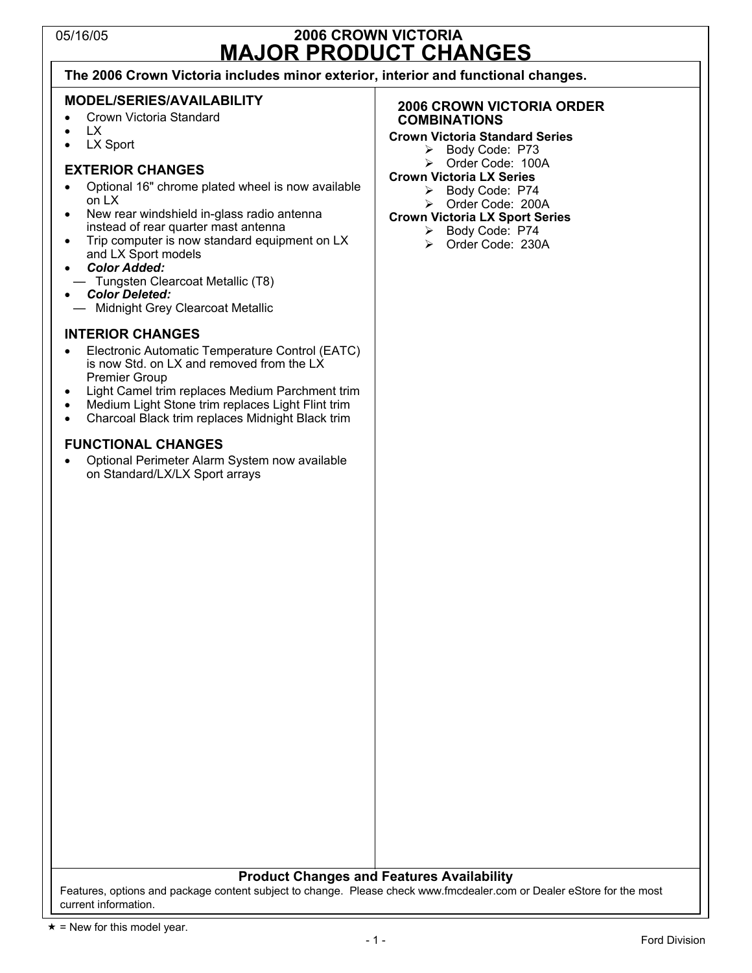## 05/16/05 **2006 CROWN VICTORIA MAJOR PRODUCT CHANGES**

**The 2006 Crown Victoria includes minor exterior, interior and functional changes.** 

### **MODEL/SERIES/AVAILABILITY**

- Crown Victoria Standard
- LX
- LX Sport

## **EXTERIOR CHANGES**

- Optional 16" chrome plated wheel is now available on LX
- New rear windshield in-glass radio antenna instead of rear quarter mast antenna
- Trip computer is now standard equipment on LX and LX Sport models
- *Color Added:*
- Tungsten Clearcoat Metallic (T8)
- *Color Deleted:*
- Midnight Grey Clearcoat Metallic

### **INTERIOR CHANGES**

- Electronic Automatic Temperature Control (EATC) is now Std. on LX and removed from the LX Premier Group
- Light Camel trim replaces Medium Parchment trim
- Medium Light Stone trim replaces Light Flint trim
- Charcoal Black trim replaces Midnight Black trim

### **FUNCTIONAL CHANGES**

• Optional Perimeter Alarm System now available on Standard/LX/LX Sport arrays

### **2006 CROWN VICTORIA ORDER COMBINATIONS**

## **Crown Victoria Standard Series**

- ¾ Body Code: P73
- ¾ Order Code: 100A
- **Crown Victoria LX Series**  ¾ Body Code: P74
	- ¾ Order Code: 200A
- **Crown Victoria LX Sport Series**
- ¾ Body Code: P74
	- ¾ Order Code: 230A

### **Product Changes and Features Availability**

Features, options and package content subject to change. Please check www.fmcdealer.com or Dealer eStore for the most current information.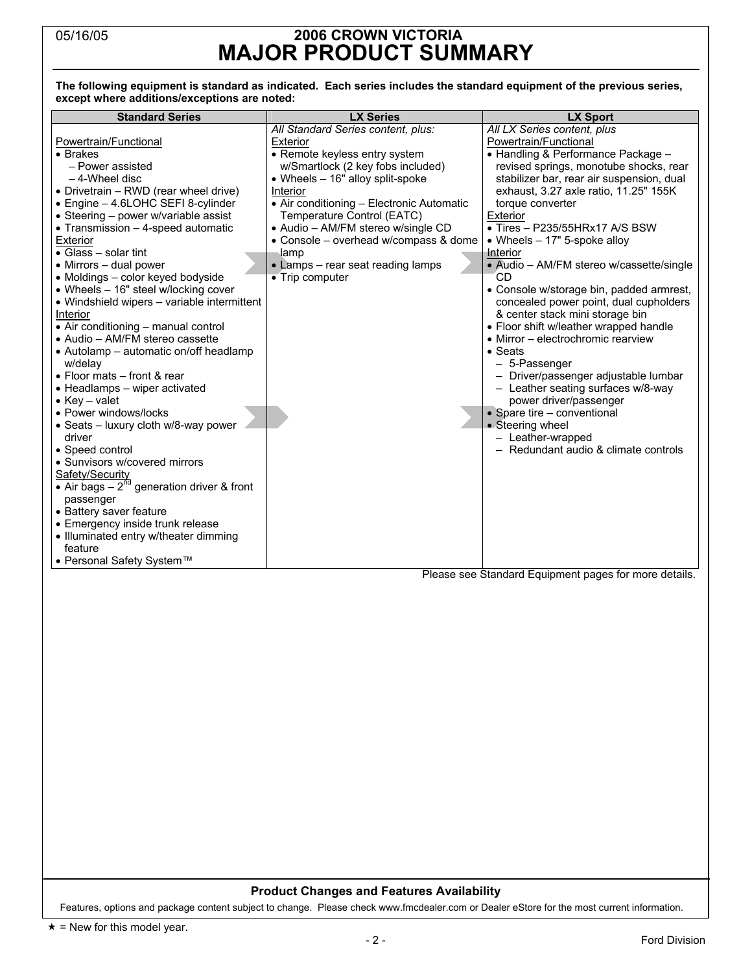## 05/16/05 **2006 CROWN VICTORIA MAJOR PRODUCT SUMMARY**

### **The following equipment is standard as indicated. Each series includes the standard equipment of the previous series, except where additions/exceptions are noted:**

| <b>Standard Series</b>                                                                                                                                                                                                                                                                                                                                                                                                                                                                                                                                                                                                                                                                                                                                                                                                                                           | <b>LX Series</b>                                                                                                                                                                                                                                                                                                                                                                                       | <b>LX Sport</b>                                                                                                                                                                                                                                                                                                                                                                                                                                                                                                                                                                                                                                                                                                                                                                                                                                                          |
|------------------------------------------------------------------------------------------------------------------------------------------------------------------------------------------------------------------------------------------------------------------------------------------------------------------------------------------------------------------------------------------------------------------------------------------------------------------------------------------------------------------------------------------------------------------------------------------------------------------------------------------------------------------------------------------------------------------------------------------------------------------------------------------------------------------------------------------------------------------|--------------------------------------------------------------------------------------------------------------------------------------------------------------------------------------------------------------------------------------------------------------------------------------------------------------------------------------------------------------------------------------------------------|--------------------------------------------------------------------------------------------------------------------------------------------------------------------------------------------------------------------------------------------------------------------------------------------------------------------------------------------------------------------------------------------------------------------------------------------------------------------------------------------------------------------------------------------------------------------------------------------------------------------------------------------------------------------------------------------------------------------------------------------------------------------------------------------------------------------------------------------------------------------------|
| Powertrain/Functional<br>• Brakes<br>- Power assisted<br>$-4$ -Wheel disc<br>• Drivetrain - RWD (rear wheel drive)<br>• Engine - 4.6LOHC SEFI 8-cylinder<br>• Steering - power w/variable assist<br>• Transmission - 4-speed automatic<br>Exterior<br>• Glass - solar tint<br>• Mirrors - dual power<br>• Moldings - color keyed bodyside<br>• Wheels - 16" steel w/locking cover<br>• Windshield wipers - variable intermittent<br>Interior<br>• Air conditioning - manual control<br>• Audio – AM/FM stereo cassette<br>• Autolamp - automatic on/off headlamp<br>w/delay<br>• Floor mats – front & rear<br>• Headlamps - wiper activated<br>• Key – valet<br>• Power windows/locks<br>· Seats - luxury cloth w/8-way power<br>driver<br>• Speed control<br>• Sunvisors w/covered mirrors<br>Safety/Security<br>• Air bags $-2^{nd}$ generation driver & front | All Standard Series content, plus:<br>Exterior<br>• Remote keyless entry system<br>w/Smartlock (2 key fobs included)<br>• Wheels - 16" alloy split-spoke<br>Interior<br>• Air conditioning – Electronic Automatic<br>Temperature Control (EATC)<br>• Audio - AM/FM stereo w/single CD<br>• Console – overhead w/compass & dome<br>lamp<br>• Lamps - rear seat reading lamps<br>$\bullet$ Trip computer | All LX Series content, plus<br>Powertrain/Functional<br>• Handling & Performance Package -<br>revised springs, monotube shocks, rear<br>stabilizer bar, rear air suspension, dual<br>exhaust, 3.27 axle ratio, 11.25" 155K<br>torque converter<br>Exterior<br>$\bullet$ Tires - P235/55HRx17 A/S BSW<br>• Wheels $-17"$ 5-spoke alloy<br>Interior<br>• Audio – AM/FM stereo w/cassette/single<br>CD<br>• Console w/storage bin, padded armrest,<br>concealed power point, dual cupholders<br>& center stack mini storage bin<br>• Floor shift w/leather wrapped handle<br>• Mirror – electrochromic rearview<br>$\bullet$ Seats<br>- 5-Passenger<br>- Driver/passenger adjustable lumbar<br>- Leather seating surfaces w/8-way<br>power driver/passenger<br>• Spare tire - conventional<br>• Steering wheel<br>- Leather-wrapped<br>- Redundant audio & climate controls |
| passenger<br>• Battery saver feature<br>• Emergency inside trunk release<br>• Illuminated entry w/theater dimming<br>feature<br>• Personal Safety System™                                                                                                                                                                                                                                                                                                                                                                                                                                                                                                                                                                                                                                                                                                        |                                                                                                                                                                                                                                                                                                                                                                                                        |                                                                                                                                                                                                                                                                                                                                                                                                                                                                                                                                                                                                                                                                                                                                                                                                                                                                          |

Please see Standard Equipment pages for more details.

### **Product Changes and Features Availability**

Features, options and package content subject to change. Please check www.fmcdealer.com or Dealer eStore for the most current information.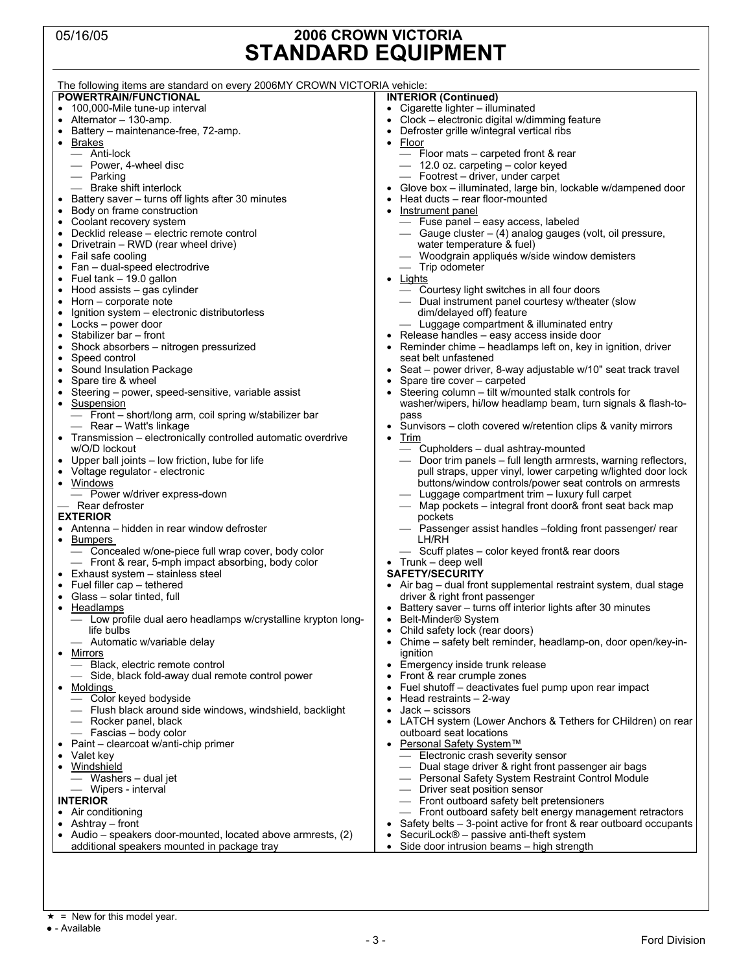## 05/16/05 **2006 CROWN VICTORIA STANDARD EQUIPMENT**

| POWERTRAIN/FUNCTIONAL<br><b>INTERIOR (Continued)</b><br>• 100,000-Mile tune-up interval<br>• Cigarette lighter - illuminated<br>Clock - electronic digital w/dimming feature<br>• Alternator $-130$ -amp.<br>Battery – maintenance-free, 72-amp.<br>Defroster grille w/integral vertical ribs<br>Floor<br>• Brakes<br>$\bullet$<br>— Anti-lock<br>- Floor mats - carpeted front & rear<br>- Power, 4-wheel disc<br>— 12.0 oz. carpeting – color keyed<br>— Parking<br>- Footrest – driver, under carpet<br>- Brake shift interlock<br>Glove box - illuminated, large bin, lockable w/dampened door<br>Heat ducts – rear floor-mounted<br>• Battery saver – turns off lights after 30 minutes<br>Body on frame construction<br>Instrument panel<br>• Coolant recovery system<br>- Fuse panel - easy access, labeled<br>• Decklid release – electric remote control<br>— Gauge cluster – (4) analog gauges (volt, oil pressure,<br>water temperature & fuel)<br>• Drivetrain $-$ RWD (rear wheel drive)<br>- Woodgrain appliqués w/side window demisters<br>Fail safe cooling<br>$\bullet$ Fan – dual-speed electrodrive<br>- Trip odometer<br>Fuel tank - 19.0 gallon<br><u>Lights</u><br>- Courtesy light switches in all four doors<br>• Hood assists – gas cylinder<br>Horn – corporate note<br>— Dual instrument panel courtesy w/theater (slow<br>dim/delayed off) feature<br>Ignition system – electronic distributorless<br>٠<br>Locks – power door<br>- Luggage compartment & illuminated entry<br>Stabilizer bar - front<br>Release handles - easy access inside door<br>Shock absorbers - nitrogen pressurized<br>Reminder chime – headlamps left on, key in ignition, driver<br>seat belt unfastened<br>Speed control<br>• Sound Insulation Package<br>• Seat – power driver, 8-way adjustable w/10" seat track travel<br>Spare tire & wheel<br>Spare tire cover – carpeted<br>Steering column - tilt w/mounted stalk controls for<br>Steering – power, speed-sensitive, variable assist<br>٠<br>washer/wipers, hi/low headlamp beam, turn signals & flash-to-<br>Suspension<br>$\bullet$<br>- Front - short/long arm, coil spring w/stabilizer bar<br>pass<br>- Rear - Watt's linkage<br>Sunvisors – cloth covered w/retention clips & vanity mirrors<br>• Transmission – electronically controlled automatic overdrive<br>Trim<br>$\bullet$<br>- Cupholders - dual ashtray-mounted<br>w/O/D lockout<br>• Upper ball joints - low friction, lube for life<br>- Door trim panels - full length armrests, warning reflectors,<br>• Voltage regulator - electronic<br>pull straps, upper vinyl, lower carpeting w/lighted door lock<br>• Windows<br>buttons/window controls/power seat controls on armrests<br>- Luggage compartment trim - luxury full carpet<br>- Power w/driver express-down<br>- Rear defroster<br>— Map pockets – integral front door& front seat back map<br><b>EXTERIOR</b><br>pockets<br>• Antenna – hidden in rear window defroster<br>- Passenger assist handles -folding front passenger/ rear<br>• Bumpers<br>LH/RH |
|---------------------------------------------------------------------------------------------------------------------------------------------------------------------------------------------------------------------------------------------------------------------------------------------------------------------------------------------------------------------------------------------------------------------------------------------------------------------------------------------------------------------------------------------------------------------------------------------------------------------------------------------------------------------------------------------------------------------------------------------------------------------------------------------------------------------------------------------------------------------------------------------------------------------------------------------------------------------------------------------------------------------------------------------------------------------------------------------------------------------------------------------------------------------------------------------------------------------------------------------------------------------------------------------------------------------------------------------------------------------------------------------------------------------------------------------------------------------------------------------------------------------------------------------------------------------------------------------------------------------------------------------------------------------------------------------------------------------------------------------------------------------------------------------------------------------------------------------------------------------------------------------------------------------------------------------------------------------------------------------------------------------------------------------------------------------------------------------------------------------------------------------------------------------------------------------------------------------------------------------------------------------------------------------------------------------------------------------------------------------------------------------------------------------------------------------------------------------------------------------------------------------------------------------------------------------------------------------------------------------------------------------------------------------------------------------------------------------------------------------------------------------------------------------------------------------------------------------------------------------------------------------------------------------------------------------------------------------------------------------------------------------------------------------------------|
|                                                                                                                                                                                                                                                                                                                                                                                                                                                                                                                                                                                                                                                                                                                                                                                                                                                                                                                                                                                                                                                                                                                                                                                                                                                                                                                                                                                                                                                                                                                                                                                                                                                                                                                                                                                                                                                                                                                                                                                                                                                                                                                                                                                                                                                                                                                                                                                                                                                                                                                                                                                                                                                                                                                                                                                                                                                                                                                                                                                                                                                         |
|                                                                                                                                                                                                                                                                                                                                                                                                                                                                                                                                                                                                                                                                                                                                                                                                                                                                                                                                                                                                                                                                                                                                                                                                                                                                                                                                                                                                                                                                                                                                                                                                                                                                                                                                                                                                                                                                                                                                                                                                                                                                                                                                                                                                                                                                                                                                                                                                                                                                                                                                                                                                                                                                                                                                                                                                                                                                                                                                                                                                                                                         |
|                                                                                                                                                                                                                                                                                                                                                                                                                                                                                                                                                                                                                                                                                                                                                                                                                                                                                                                                                                                                                                                                                                                                                                                                                                                                                                                                                                                                                                                                                                                                                                                                                                                                                                                                                                                                                                                                                                                                                                                                                                                                                                                                                                                                                                                                                                                                                                                                                                                                                                                                                                                                                                                                                                                                                                                                                                                                                                                                                                                                                                                         |
|                                                                                                                                                                                                                                                                                                                                                                                                                                                                                                                                                                                                                                                                                                                                                                                                                                                                                                                                                                                                                                                                                                                                                                                                                                                                                                                                                                                                                                                                                                                                                                                                                                                                                                                                                                                                                                                                                                                                                                                                                                                                                                                                                                                                                                                                                                                                                                                                                                                                                                                                                                                                                                                                                                                                                                                                                                                                                                                                                                                                                                                         |
|                                                                                                                                                                                                                                                                                                                                                                                                                                                                                                                                                                                                                                                                                                                                                                                                                                                                                                                                                                                                                                                                                                                                                                                                                                                                                                                                                                                                                                                                                                                                                                                                                                                                                                                                                                                                                                                                                                                                                                                                                                                                                                                                                                                                                                                                                                                                                                                                                                                                                                                                                                                                                                                                                                                                                                                                                                                                                                                                                                                                                                                         |
|                                                                                                                                                                                                                                                                                                                                                                                                                                                                                                                                                                                                                                                                                                                                                                                                                                                                                                                                                                                                                                                                                                                                                                                                                                                                                                                                                                                                                                                                                                                                                                                                                                                                                                                                                                                                                                                                                                                                                                                                                                                                                                                                                                                                                                                                                                                                                                                                                                                                                                                                                                                                                                                                                                                                                                                                                                                                                                                                                                                                                                                         |
|                                                                                                                                                                                                                                                                                                                                                                                                                                                                                                                                                                                                                                                                                                                                                                                                                                                                                                                                                                                                                                                                                                                                                                                                                                                                                                                                                                                                                                                                                                                                                                                                                                                                                                                                                                                                                                                                                                                                                                                                                                                                                                                                                                                                                                                                                                                                                                                                                                                                                                                                                                                                                                                                                                                                                                                                                                                                                                                                                                                                                                                         |
|                                                                                                                                                                                                                                                                                                                                                                                                                                                                                                                                                                                                                                                                                                                                                                                                                                                                                                                                                                                                                                                                                                                                                                                                                                                                                                                                                                                                                                                                                                                                                                                                                                                                                                                                                                                                                                                                                                                                                                                                                                                                                                                                                                                                                                                                                                                                                                                                                                                                                                                                                                                                                                                                                                                                                                                                                                                                                                                                                                                                                                                         |
|                                                                                                                                                                                                                                                                                                                                                                                                                                                                                                                                                                                                                                                                                                                                                                                                                                                                                                                                                                                                                                                                                                                                                                                                                                                                                                                                                                                                                                                                                                                                                                                                                                                                                                                                                                                                                                                                                                                                                                                                                                                                                                                                                                                                                                                                                                                                                                                                                                                                                                                                                                                                                                                                                                                                                                                                                                                                                                                                                                                                                                                         |
|                                                                                                                                                                                                                                                                                                                                                                                                                                                                                                                                                                                                                                                                                                                                                                                                                                                                                                                                                                                                                                                                                                                                                                                                                                                                                                                                                                                                                                                                                                                                                                                                                                                                                                                                                                                                                                                                                                                                                                                                                                                                                                                                                                                                                                                                                                                                                                                                                                                                                                                                                                                                                                                                                                                                                                                                                                                                                                                                                                                                                                                         |
|                                                                                                                                                                                                                                                                                                                                                                                                                                                                                                                                                                                                                                                                                                                                                                                                                                                                                                                                                                                                                                                                                                                                                                                                                                                                                                                                                                                                                                                                                                                                                                                                                                                                                                                                                                                                                                                                                                                                                                                                                                                                                                                                                                                                                                                                                                                                                                                                                                                                                                                                                                                                                                                                                                                                                                                                                                                                                                                                                                                                                                                         |
|                                                                                                                                                                                                                                                                                                                                                                                                                                                                                                                                                                                                                                                                                                                                                                                                                                                                                                                                                                                                                                                                                                                                                                                                                                                                                                                                                                                                                                                                                                                                                                                                                                                                                                                                                                                                                                                                                                                                                                                                                                                                                                                                                                                                                                                                                                                                                                                                                                                                                                                                                                                                                                                                                                                                                                                                                                                                                                                                                                                                                                                         |
|                                                                                                                                                                                                                                                                                                                                                                                                                                                                                                                                                                                                                                                                                                                                                                                                                                                                                                                                                                                                                                                                                                                                                                                                                                                                                                                                                                                                                                                                                                                                                                                                                                                                                                                                                                                                                                                                                                                                                                                                                                                                                                                                                                                                                                                                                                                                                                                                                                                                                                                                                                                                                                                                                                                                                                                                                                                                                                                                                                                                                                                         |
|                                                                                                                                                                                                                                                                                                                                                                                                                                                                                                                                                                                                                                                                                                                                                                                                                                                                                                                                                                                                                                                                                                                                                                                                                                                                                                                                                                                                                                                                                                                                                                                                                                                                                                                                                                                                                                                                                                                                                                                                                                                                                                                                                                                                                                                                                                                                                                                                                                                                                                                                                                                                                                                                                                                                                                                                                                                                                                                                                                                                                                                         |
|                                                                                                                                                                                                                                                                                                                                                                                                                                                                                                                                                                                                                                                                                                                                                                                                                                                                                                                                                                                                                                                                                                                                                                                                                                                                                                                                                                                                                                                                                                                                                                                                                                                                                                                                                                                                                                                                                                                                                                                                                                                                                                                                                                                                                                                                                                                                                                                                                                                                                                                                                                                                                                                                                                                                                                                                                                                                                                                                                                                                                                                         |
|                                                                                                                                                                                                                                                                                                                                                                                                                                                                                                                                                                                                                                                                                                                                                                                                                                                                                                                                                                                                                                                                                                                                                                                                                                                                                                                                                                                                                                                                                                                                                                                                                                                                                                                                                                                                                                                                                                                                                                                                                                                                                                                                                                                                                                                                                                                                                                                                                                                                                                                                                                                                                                                                                                                                                                                                                                                                                                                                                                                                                                                         |
|                                                                                                                                                                                                                                                                                                                                                                                                                                                                                                                                                                                                                                                                                                                                                                                                                                                                                                                                                                                                                                                                                                                                                                                                                                                                                                                                                                                                                                                                                                                                                                                                                                                                                                                                                                                                                                                                                                                                                                                                                                                                                                                                                                                                                                                                                                                                                                                                                                                                                                                                                                                                                                                                                                                                                                                                                                                                                                                                                                                                                                                         |
|                                                                                                                                                                                                                                                                                                                                                                                                                                                                                                                                                                                                                                                                                                                                                                                                                                                                                                                                                                                                                                                                                                                                                                                                                                                                                                                                                                                                                                                                                                                                                                                                                                                                                                                                                                                                                                                                                                                                                                                                                                                                                                                                                                                                                                                                                                                                                                                                                                                                                                                                                                                                                                                                                                                                                                                                                                                                                                                                                                                                                                                         |
|                                                                                                                                                                                                                                                                                                                                                                                                                                                                                                                                                                                                                                                                                                                                                                                                                                                                                                                                                                                                                                                                                                                                                                                                                                                                                                                                                                                                                                                                                                                                                                                                                                                                                                                                                                                                                                                                                                                                                                                                                                                                                                                                                                                                                                                                                                                                                                                                                                                                                                                                                                                                                                                                                                                                                                                                                                                                                                                                                                                                                                                         |
|                                                                                                                                                                                                                                                                                                                                                                                                                                                                                                                                                                                                                                                                                                                                                                                                                                                                                                                                                                                                                                                                                                                                                                                                                                                                                                                                                                                                                                                                                                                                                                                                                                                                                                                                                                                                                                                                                                                                                                                                                                                                                                                                                                                                                                                                                                                                                                                                                                                                                                                                                                                                                                                                                                                                                                                                                                                                                                                                                                                                                                                         |
|                                                                                                                                                                                                                                                                                                                                                                                                                                                                                                                                                                                                                                                                                                                                                                                                                                                                                                                                                                                                                                                                                                                                                                                                                                                                                                                                                                                                                                                                                                                                                                                                                                                                                                                                                                                                                                                                                                                                                                                                                                                                                                                                                                                                                                                                                                                                                                                                                                                                                                                                                                                                                                                                                                                                                                                                                                                                                                                                                                                                                                                         |
|                                                                                                                                                                                                                                                                                                                                                                                                                                                                                                                                                                                                                                                                                                                                                                                                                                                                                                                                                                                                                                                                                                                                                                                                                                                                                                                                                                                                                                                                                                                                                                                                                                                                                                                                                                                                                                                                                                                                                                                                                                                                                                                                                                                                                                                                                                                                                                                                                                                                                                                                                                                                                                                                                                                                                                                                                                                                                                                                                                                                                                                         |
|                                                                                                                                                                                                                                                                                                                                                                                                                                                                                                                                                                                                                                                                                                                                                                                                                                                                                                                                                                                                                                                                                                                                                                                                                                                                                                                                                                                                                                                                                                                                                                                                                                                                                                                                                                                                                                                                                                                                                                                                                                                                                                                                                                                                                                                                                                                                                                                                                                                                                                                                                                                                                                                                                                                                                                                                                                                                                                                                                                                                                                                         |
|                                                                                                                                                                                                                                                                                                                                                                                                                                                                                                                                                                                                                                                                                                                                                                                                                                                                                                                                                                                                                                                                                                                                                                                                                                                                                                                                                                                                                                                                                                                                                                                                                                                                                                                                                                                                                                                                                                                                                                                                                                                                                                                                                                                                                                                                                                                                                                                                                                                                                                                                                                                                                                                                                                                                                                                                                                                                                                                                                                                                                                                         |
|                                                                                                                                                                                                                                                                                                                                                                                                                                                                                                                                                                                                                                                                                                                                                                                                                                                                                                                                                                                                                                                                                                                                                                                                                                                                                                                                                                                                                                                                                                                                                                                                                                                                                                                                                                                                                                                                                                                                                                                                                                                                                                                                                                                                                                                                                                                                                                                                                                                                                                                                                                                                                                                                                                                                                                                                                                                                                                                                                                                                                                                         |
|                                                                                                                                                                                                                                                                                                                                                                                                                                                                                                                                                                                                                                                                                                                                                                                                                                                                                                                                                                                                                                                                                                                                                                                                                                                                                                                                                                                                                                                                                                                                                                                                                                                                                                                                                                                                                                                                                                                                                                                                                                                                                                                                                                                                                                                                                                                                                                                                                                                                                                                                                                                                                                                                                                                                                                                                                                                                                                                                                                                                                                                         |
|                                                                                                                                                                                                                                                                                                                                                                                                                                                                                                                                                                                                                                                                                                                                                                                                                                                                                                                                                                                                                                                                                                                                                                                                                                                                                                                                                                                                                                                                                                                                                                                                                                                                                                                                                                                                                                                                                                                                                                                                                                                                                                                                                                                                                                                                                                                                                                                                                                                                                                                                                                                                                                                                                                                                                                                                                                                                                                                                                                                                                                                         |
|                                                                                                                                                                                                                                                                                                                                                                                                                                                                                                                                                                                                                                                                                                                                                                                                                                                                                                                                                                                                                                                                                                                                                                                                                                                                                                                                                                                                                                                                                                                                                                                                                                                                                                                                                                                                                                                                                                                                                                                                                                                                                                                                                                                                                                                                                                                                                                                                                                                                                                                                                                                                                                                                                                                                                                                                                                                                                                                                                                                                                                                         |
|                                                                                                                                                                                                                                                                                                                                                                                                                                                                                                                                                                                                                                                                                                                                                                                                                                                                                                                                                                                                                                                                                                                                                                                                                                                                                                                                                                                                                                                                                                                                                                                                                                                                                                                                                                                                                                                                                                                                                                                                                                                                                                                                                                                                                                                                                                                                                                                                                                                                                                                                                                                                                                                                                                                                                                                                                                                                                                                                                                                                                                                         |
|                                                                                                                                                                                                                                                                                                                                                                                                                                                                                                                                                                                                                                                                                                                                                                                                                                                                                                                                                                                                                                                                                                                                                                                                                                                                                                                                                                                                                                                                                                                                                                                                                                                                                                                                                                                                                                                                                                                                                                                                                                                                                                                                                                                                                                                                                                                                                                                                                                                                                                                                                                                                                                                                                                                                                                                                                                                                                                                                                                                                                                                         |
|                                                                                                                                                                                                                                                                                                                                                                                                                                                                                                                                                                                                                                                                                                                                                                                                                                                                                                                                                                                                                                                                                                                                                                                                                                                                                                                                                                                                                                                                                                                                                                                                                                                                                                                                                                                                                                                                                                                                                                                                                                                                                                                                                                                                                                                                                                                                                                                                                                                                                                                                                                                                                                                                                                                                                                                                                                                                                                                                                                                                                                                         |
|                                                                                                                                                                                                                                                                                                                                                                                                                                                                                                                                                                                                                                                                                                                                                                                                                                                                                                                                                                                                                                                                                                                                                                                                                                                                                                                                                                                                                                                                                                                                                                                                                                                                                                                                                                                                                                                                                                                                                                                                                                                                                                                                                                                                                                                                                                                                                                                                                                                                                                                                                                                                                                                                                                                                                                                                                                                                                                                                                                                                                                                         |
|                                                                                                                                                                                                                                                                                                                                                                                                                                                                                                                                                                                                                                                                                                                                                                                                                                                                                                                                                                                                                                                                                                                                                                                                                                                                                                                                                                                                                                                                                                                                                                                                                                                                                                                                                                                                                                                                                                                                                                                                                                                                                                                                                                                                                                                                                                                                                                                                                                                                                                                                                                                                                                                                                                                                                                                                                                                                                                                                                                                                                                                         |
|                                                                                                                                                                                                                                                                                                                                                                                                                                                                                                                                                                                                                                                                                                                                                                                                                                                                                                                                                                                                                                                                                                                                                                                                                                                                                                                                                                                                                                                                                                                                                                                                                                                                                                                                                                                                                                                                                                                                                                                                                                                                                                                                                                                                                                                                                                                                                                                                                                                                                                                                                                                                                                                                                                                                                                                                                                                                                                                                                                                                                                                         |
|                                                                                                                                                                                                                                                                                                                                                                                                                                                                                                                                                                                                                                                                                                                                                                                                                                                                                                                                                                                                                                                                                                                                                                                                                                                                                                                                                                                                                                                                                                                                                                                                                                                                                                                                                                                                                                                                                                                                                                                                                                                                                                                                                                                                                                                                                                                                                                                                                                                                                                                                                                                                                                                                                                                                                                                                                                                                                                                                                                                                                                                         |
|                                                                                                                                                                                                                                                                                                                                                                                                                                                                                                                                                                                                                                                                                                                                                                                                                                                                                                                                                                                                                                                                                                                                                                                                                                                                                                                                                                                                                                                                                                                                                                                                                                                                                                                                                                                                                                                                                                                                                                                                                                                                                                                                                                                                                                                                                                                                                                                                                                                                                                                                                                                                                                                                                                                                                                                                                                                                                                                                                                                                                                                         |
|                                                                                                                                                                                                                                                                                                                                                                                                                                                                                                                                                                                                                                                                                                                                                                                                                                                                                                                                                                                                                                                                                                                                                                                                                                                                                                                                                                                                                                                                                                                                                                                                                                                                                                                                                                                                                                                                                                                                                                                                                                                                                                                                                                                                                                                                                                                                                                                                                                                                                                                                                                                                                                                                                                                                                                                                                                                                                                                                                                                                                                                         |
|                                                                                                                                                                                                                                                                                                                                                                                                                                                                                                                                                                                                                                                                                                                                                                                                                                                                                                                                                                                                                                                                                                                                                                                                                                                                                                                                                                                                                                                                                                                                                                                                                                                                                                                                                                                                                                                                                                                                                                                                                                                                                                                                                                                                                                                                                                                                                                                                                                                                                                                                                                                                                                                                                                                                                                                                                                                                                                                                                                                                                                                         |
|                                                                                                                                                                                                                                                                                                                                                                                                                                                                                                                                                                                                                                                                                                                                                                                                                                                                                                                                                                                                                                                                                                                                                                                                                                                                                                                                                                                                                                                                                                                                                                                                                                                                                                                                                                                                                                                                                                                                                                                                                                                                                                                                                                                                                                                                                                                                                                                                                                                                                                                                                                                                                                                                                                                                                                                                                                                                                                                                                                                                                                                         |
|                                                                                                                                                                                                                                                                                                                                                                                                                                                                                                                                                                                                                                                                                                                                                                                                                                                                                                                                                                                                                                                                                                                                                                                                                                                                                                                                                                                                                                                                                                                                                                                                                                                                                                                                                                                                                                                                                                                                                                                                                                                                                                                                                                                                                                                                                                                                                                                                                                                                                                                                                                                                                                                                                                                                                                                                                                                                                                                                                                                                                                                         |
|                                                                                                                                                                                                                                                                                                                                                                                                                                                                                                                                                                                                                                                                                                                                                                                                                                                                                                                                                                                                                                                                                                                                                                                                                                                                                                                                                                                                                                                                                                                                                                                                                                                                                                                                                                                                                                                                                                                                                                                                                                                                                                                                                                                                                                                                                                                                                                                                                                                                                                                                                                                                                                                                                                                                                                                                                                                                                                                                                                                                                                                         |
|                                                                                                                                                                                                                                                                                                                                                                                                                                                                                                                                                                                                                                                                                                                                                                                                                                                                                                                                                                                                                                                                                                                                                                                                                                                                                                                                                                                                                                                                                                                                                                                                                                                                                                                                                                                                                                                                                                                                                                                                                                                                                                                                                                                                                                                                                                                                                                                                                                                                                                                                                                                                                                                                                                                                                                                                                                                                                                                                                                                                                                                         |
|                                                                                                                                                                                                                                                                                                                                                                                                                                                                                                                                                                                                                                                                                                                                                                                                                                                                                                                                                                                                                                                                                                                                                                                                                                                                                                                                                                                                                                                                                                                                                                                                                                                                                                                                                                                                                                                                                                                                                                                                                                                                                                                                                                                                                                                                                                                                                                                                                                                                                                                                                                                                                                                                                                                                                                                                                                                                                                                                                                                                                                                         |
| - Concealed w/one-piece full wrap cover, body color<br>- Scuff plates – color keyed front& rear doors                                                                                                                                                                                                                                                                                                                                                                                                                                                                                                                                                                                                                                                                                                                                                                                                                                                                                                                                                                                                                                                                                                                                                                                                                                                                                                                                                                                                                                                                                                                                                                                                                                                                                                                                                                                                                                                                                                                                                                                                                                                                                                                                                                                                                                                                                                                                                                                                                                                                                                                                                                                                                                                                                                                                                                                                                                                                                                                                                   |
| - Front & rear, 5-mph impact absorbing, body color<br>$\bullet$ Trunk – deep well                                                                                                                                                                                                                                                                                                                                                                                                                                                                                                                                                                                                                                                                                                                                                                                                                                                                                                                                                                                                                                                                                                                                                                                                                                                                                                                                                                                                                                                                                                                                                                                                                                                                                                                                                                                                                                                                                                                                                                                                                                                                                                                                                                                                                                                                                                                                                                                                                                                                                                                                                                                                                                                                                                                                                                                                                                                                                                                                                                       |
| <b>SAFETY/SECURITY</b><br>$\bullet$ Exhaust system – stainless steel                                                                                                                                                                                                                                                                                                                                                                                                                                                                                                                                                                                                                                                                                                                                                                                                                                                                                                                                                                                                                                                                                                                                                                                                                                                                                                                                                                                                                                                                                                                                                                                                                                                                                                                                                                                                                                                                                                                                                                                                                                                                                                                                                                                                                                                                                                                                                                                                                                                                                                                                                                                                                                                                                                                                                                                                                                                                                                                                                                                    |
| • Fuel filler cap $-$ tethered<br>• Air bag – dual front supplemental restraint system, dual stage                                                                                                                                                                                                                                                                                                                                                                                                                                                                                                                                                                                                                                                                                                                                                                                                                                                                                                                                                                                                                                                                                                                                                                                                                                                                                                                                                                                                                                                                                                                                                                                                                                                                                                                                                                                                                                                                                                                                                                                                                                                                                                                                                                                                                                                                                                                                                                                                                                                                                                                                                                                                                                                                                                                                                                                                                                                                                                                                                      |
| • Glass $-$ solar tinted, full<br>driver & right front passenger                                                                                                                                                                                                                                                                                                                                                                                                                                                                                                                                                                                                                                                                                                                                                                                                                                                                                                                                                                                                                                                                                                                                                                                                                                                                                                                                                                                                                                                                                                                                                                                                                                                                                                                                                                                                                                                                                                                                                                                                                                                                                                                                                                                                                                                                                                                                                                                                                                                                                                                                                                                                                                                                                                                                                                                                                                                                                                                                                                                        |
| • Headlamps<br>Battery saver – turns off interior lights after 30 minutes                                                                                                                                                                                                                                                                                                                                                                                                                                                                                                                                                                                                                                                                                                                                                                                                                                                                                                                                                                                                                                                                                                                                                                                                                                                                                                                                                                                                                                                                                                                                                                                                                                                                                                                                                                                                                                                                                                                                                                                                                                                                                                                                                                                                                                                                                                                                                                                                                                                                                                                                                                                                                                                                                                                                                                                                                                                                                                                                                                               |
| - Low profile dual aero headlamps w/crystalline krypton long-<br>Belt-Minder <sup>®</sup> System                                                                                                                                                                                                                                                                                                                                                                                                                                                                                                                                                                                                                                                                                                                                                                                                                                                                                                                                                                                                                                                                                                                                                                                                                                                                                                                                                                                                                                                                                                                                                                                                                                                                                                                                                                                                                                                                                                                                                                                                                                                                                                                                                                                                                                                                                                                                                                                                                                                                                                                                                                                                                                                                                                                                                                                                                                                                                                                                                        |
| Child safety lock (rear doors)<br>life bulbs                                                                                                                                                                                                                                                                                                                                                                                                                                                                                                                                                                                                                                                                                                                                                                                                                                                                                                                                                                                                                                                                                                                                                                                                                                                                                                                                                                                                                                                                                                                                                                                                                                                                                                                                                                                                                                                                                                                                                                                                                                                                                                                                                                                                                                                                                                                                                                                                                                                                                                                                                                                                                                                                                                                                                                                                                                                                                                                                                                                                            |
| Chime – safety belt reminder, headlamp-on, door open/key-in-<br>Automatic w/variable delay                                                                                                                                                                                                                                                                                                                                                                                                                                                                                                                                                                                                                                                                                                                                                                                                                                                                                                                                                                                                                                                                                                                                                                                                                                                                                                                                                                                                                                                                                                                                                                                                                                                                                                                                                                                                                                                                                                                                                                                                                                                                                                                                                                                                                                                                                                                                                                                                                                                                                                                                                                                                                                                                                                                                                                                                                                                                                                                                                              |
| ignition<br>Mirrors                                                                                                                                                                                                                                                                                                                                                                                                                                                                                                                                                                                                                                                                                                                                                                                                                                                                                                                                                                                                                                                                                                                                                                                                                                                                                                                                                                                                                                                                                                                                                                                                                                                                                                                                                                                                                                                                                                                                                                                                                                                                                                                                                                                                                                                                                                                                                                                                                                                                                                                                                                                                                                                                                                                                                                                                                                                                                                                                                                                                                                     |
| Black, electric remote control<br>Emergency inside trunk release<br>٠                                                                                                                                                                                                                                                                                                                                                                                                                                                                                                                                                                                                                                                                                                                                                                                                                                                                                                                                                                                                                                                                                                                                                                                                                                                                                                                                                                                                                                                                                                                                                                                                                                                                                                                                                                                                                                                                                                                                                                                                                                                                                                                                                                                                                                                                                                                                                                                                                                                                                                                                                                                                                                                                                                                                                                                                                                                                                                                                                                                   |
| Front & rear crumple zones<br>- Side, black fold-away dual remote control power                                                                                                                                                                                                                                                                                                                                                                                                                                                                                                                                                                                                                                                                                                                                                                                                                                                                                                                                                                                                                                                                                                                                                                                                                                                                                                                                                                                                                                                                                                                                                                                                                                                                                                                                                                                                                                                                                                                                                                                                                                                                                                                                                                                                                                                                                                                                                                                                                                                                                                                                                                                                                                                                                                                                                                                                                                                                                                                                                                         |
| Fuel shutoff - deactivates fuel pump upon rear impact<br>Moldings                                                                                                                                                                                                                                                                                                                                                                                                                                                                                                                                                                                                                                                                                                                                                                                                                                                                                                                                                                                                                                                                                                                                                                                                                                                                                                                                                                                                                                                                                                                                                                                                                                                                                                                                                                                                                                                                                                                                                                                                                                                                                                                                                                                                                                                                                                                                                                                                                                                                                                                                                                                                                                                                                                                                                                                                                                                                                                                                                                                       |
| - Color keyed bodyside<br>Head restraints - 2-way                                                                                                                                                                                                                                                                                                                                                                                                                                                                                                                                                                                                                                                                                                                                                                                                                                                                                                                                                                                                                                                                                                                                                                                                                                                                                                                                                                                                                                                                                                                                                                                                                                                                                                                                                                                                                                                                                                                                                                                                                                                                                                                                                                                                                                                                                                                                                                                                                                                                                                                                                                                                                                                                                                                                                                                                                                                                                                                                                                                                       |
| - Flush black around side windows, windshield, backlight<br>Jack – scissors                                                                                                                                                                                                                                                                                                                                                                                                                                                                                                                                                                                                                                                                                                                                                                                                                                                                                                                                                                                                                                                                                                                                                                                                                                                                                                                                                                                                                                                                                                                                                                                                                                                                                                                                                                                                                                                                                                                                                                                                                                                                                                                                                                                                                                                                                                                                                                                                                                                                                                                                                                                                                                                                                                                                                                                                                                                                                                                                                                             |
| - Rocker panel, black                                                                                                                                                                                                                                                                                                                                                                                                                                                                                                                                                                                                                                                                                                                                                                                                                                                                                                                                                                                                                                                                                                                                                                                                                                                                                                                                                                                                                                                                                                                                                                                                                                                                                                                                                                                                                                                                                                                                                                                                                                                                                                                                                                                                                                                                                                                                                                                                                                                                                                                                                                                                                                                                                                                                                                                                                                                                                                                                                                                                                                   |
| LATCH system (Lower Anchors & Tethers for CHildren) on rear                                                                                                                                                                                                                                                                                                                                                                                                                                                                                                                                                                                                                                                                                                                                                                                                                                                                                                                                                                                                                                                                                                                                                                                                                                                                                                                                                                                                                                                                                                                                                                                                                                                                                                                                                                                                                                                                                                                                                                                                                                                                                                                                                                                                                                                                                                                                                                                                                                                                                                                                                                                                                                                                                                                                                                                                                                                                                                                                                                                             |
| - Fascias - body color<br>outboard seat locations                                                                                                                                                                                                                                                                                                                                                                                                                                                                                                                                                                                                                                                                                                                                                                                                                                                                                                                                                                                                                                                                                                                                                                                                                                                                                                                                                                                                                                                                                                                                                                                                                                                                                                                                                                                                                                                                                                                                                                                                                                                                                                                                                                                                                                                                                                                                                                                                                                                                                                                                                                                                                                                                                                                                                                                                                                                                                                                                                                                                       |
| Personal Safety System™<br>Paint – clearcoat w/anti-chip primer                                                                                                                                                                                                                                                                                                                                                                                                                                                                                                                                                                                                                                                                                                                                                                                                                                                                                                                                                                                                                                                                                                                                                                                                                                                                                                                                                                                                                                                                                                                                                                                                                                                                                                                                                                                                                                                                                                                                                                                                                                                                                                                                                                                                                                                                                                                                                                                                                                                                                                                                                                                                                                                                                                                                                                                                                                                                                                                                                                                         |
| Valet key<br>- Electronic crash severity sensor                                                                                                                                                                                                                                                                                                                                                                                                                                                                                                                                                                                                                                                                                                                                                                                                                                                                                                                                                                                                                                                                                                                                                                                                                                                                                                                                                                                                                                                                                                                                                                                                                                                                                                                                                                                                                                                                                                                                                                                                                                                                                                                                                                                                                                                                                                                                                                                                                                                                                                                                                                                                                                                                                                                                                                                                                                                                                                                                                                                                         |
| - Dual stage driver & right front passenger air bags<br>• Windshield                                                                                                                                                                                                                                                                                                                                                                                                                                                                                                                                                                                                                                                                                                                                                                                                                                                                                                                                                                                                                                                                                                                                                                                                                                                                                                                                                                                                                                                                                                                                                                                                                                                                                                                                                                                                                                                                                                                                                                                                                                                                                                                                                                                                                                                                                                                                                                                                                                                                                                                                                                                                                                                                                                                                                                                                                                                                                                                                                                                    |
| — Washers – dual jet<br>- Personal Safety System Restraint Control Module                                                                                                                                                                                                                                                                                                                                                                                                                                                                                                                                                                                                                                                                                                                                                                                                                                                                                                                                                                                                                                                                                                                                                                                                                                                                                                                                                                                                                                                                                                                                                                                                                                                                                                                                                                                                                                                                                                                                                                                                                                                                                                                                                                                                                                                                                                                                                                                                                                                                                                                                                                                                                                                                                                                                                                                                                                                                                                                                                                               |
| - Driver seat position sensor<br>— Wipers - interval                                                                                                                                                                                                                                                                                                                                                                                                                                                                                                                                                                                                                                                                                                                                                                                                                                                                                                                                                                                                                                                                                                                                                                                                                                                                                                                                                                                                                                                                                                                                                                                                                                                                                                                                                                                                                                                                                                                                                                                                                                                                                                                                                                                                                                                                                                                                                                                                                                                                                                                                                                                                                                                                                                                                                                                                                                                                                                                                                                                                    |
| <b>INTERIOR</b><br>- Front outboard safety belt pretensioners                                                                                                                                                                                                                                                                                                                                                                                                                                                                                                                                                                                                                                                                                                                                                                                                                                                                                                                                                                                                                                                                                                                                                                                                                                                                                                                                                                                                                                                                                                                                                                                                                                                                                                                                                                                                                                                                                                                                                                                                                                                                                                                                                                                                                                                                                                                                                                                                                                                                                                                                                                                                                                                                                                                                                                                                                                                                                                                                                                                           |
| • Air conditioning<br>- Front outboard safety belt energy management retractors                                                                                                                                                                                                                                                                                                                                                                                                                                                                                                                                                                                                                                                                                                                                                                                                                                                                                                                                                                                                                                                                                                                                                                                                                                                                                                                                                                                                                                                                                                                                                                                                                                                                                                                                                                                                                                                                                                                                                                                                                                                                                                                                                                                                                                                                                                                                                                                                                                                                                                                                                                                                                                                                                                                                                                                                                                                                                                                                                                         |
| Ashtray – front<br>Safety belts – 3-point active for front & rear outboard occupants                                                                                                                                                                                                                                                                                                                                                                                                                                                                                                                                                                                                                                                                                                                                                                                                                                                                                                                                                                                                                                                                                                                                                                                                                                                                                                                                                                                                                                                                                                                                                                                                                                                                                                                                                                                                                                                                                                                                                                                                                                                                                                                                                                                                                                                                                                                                                                                                                                                                                                                                                                                                                                                                                                                                                                                                                                                                                                                                                                    |
| • Audio - speakers door-mounted, located above armrests, (2)<br>SecuriLock® - passive anti-theft system                                                                                                                                                                                                                                                                                                                                                                                                                                                                                                                                                                                                                                                                                                                                                                                                                                                                                                                                                                                                                                                                                                                                                                                                                                                                                                                                                                                                                                                                                                                                                                                                                                                                                                                                                                                                                                                                                                                                                                                                                                                                                                                                                                                                                                                                                                                                                                                                                                                                                                                                                                                                                                                                                                                                                                                                                                                                                                                                                 |
| additional speakers mounted in package tray<br>Side door intrusion beams - high strength                                                                                                                                                                                                                                                                                                                                                                                                                                                                                                                                                                                                                                                                                                                                                                                                                                                                                                                                                                                                                                                                                                                                                                                                                                                                                                                                                                                                                                                                                                                                                                                                                                                                                                                                                                                                                                                                                                                                                                                                                                                                                                                                                                                                                                                                                                                                                                                                                                                                                                                                                                                                                                                                                                                                                                                                                                                                                                                                                                |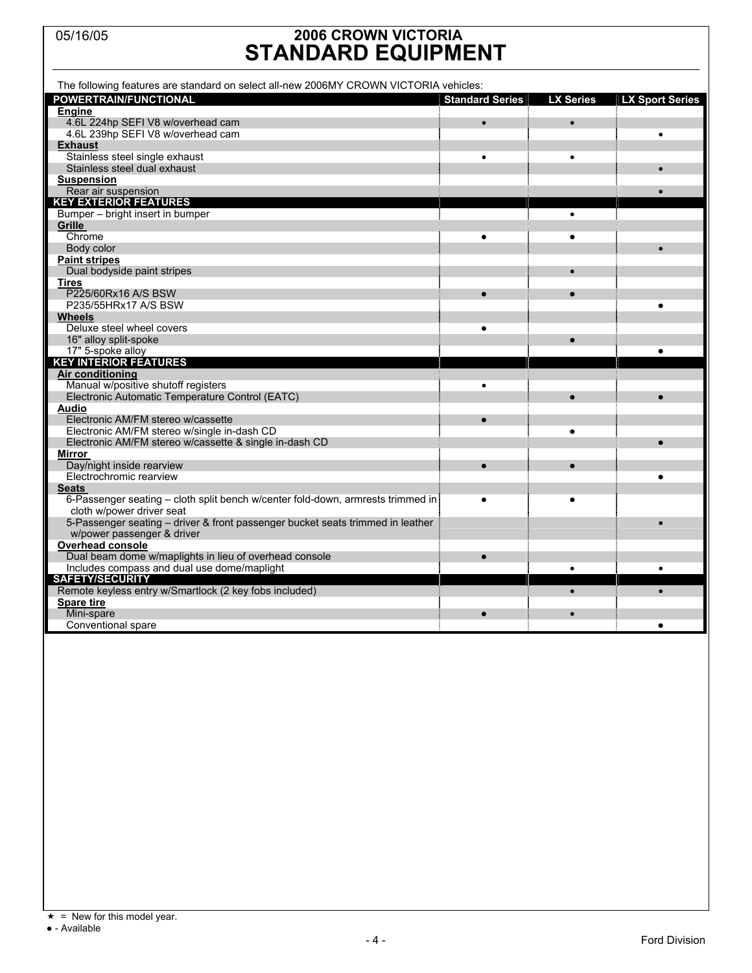## 05/16/05 **2006 CROWN VICTORIA STANDARD EQUIPMENT**

| The following features are standard on select all-new 2006MY CROWN VICTORIA vehicles:                 |                        |                  |                        |
|-------------------------------------------------------------------------------------------------------|------------------------|------------------|------------------------|
| <b>POWERTRAIN/FUNCTIONAL</b>                                                                          | <b>Standard Series</b> | <b>LX Series</b> | <b>LX Sport Series</b> |
| <b>Engine</b>                                                                                         |                        |                  |                        |
| 4.6L 224hp SEFI V8 w/overhead cam                                                                     | $\bullet$              |                  |                        |
| 4.6L 239hp SEFI V8 w/overhead cam                                                                     |                        |                  |                        |
| <b>Exhaust</b>                                                                                        |                        |                  |                        |
| Stainless steel single exhaust                                                                        | $\bullet$              | $\bullet$        |                        |
| Stainless steel dual exhaust                                                                          |                        |                  |                        |
| <b>Suspension</b>                                                                                     |                        |                  |                        |
| Rear air suspension                                                                                   |                        |                  |                        |
| <b>KEY EXTERIOR FEATURES</b>                                                                          |                        |                  |                        |
| Bumper - bright insert in bumper                                                                      |                        | $\bullet$        |                        |
| Grille                                                                                                |                        |                  |                        |
| Chrome                                                                                                |                        | ٠                |                        |
| Body color                                                                                            |                        |                  |                        |
| <b>Paint stripes</b>                                                                                  |                        |                  |                        |
| Dual bodyside paint stripes                                                                           |                        |                  |                        |
| Tires                                                                                                 |                        |                  |                        |
| P225/60Rx16 A/S BSW                                                                                   |                        |                  |                        |
| P235/55HRx17 A/S BSW                                                                                  |                        |                  |                        |
| <b>Wheels</b>                                                                                         |                        |                  |                        |
| Deluxe steel wheel covers                                                                             | $\bullet$              |                  |                        |
| 16" alloy split-spoke                                                                                 |                        |                  |                        |
| 17" 5-spoke alloy                                                                                     |                        |                  |                        |
| <b>KEY INTERIOR FEATURES</b>                                                                          |                        |                  |                        |
| <b>Air conditioning</b>                                                                               |                        |                  |                        |
| Manual w/positive shutoff registers                                                                   | $\bullet$              |                  |                        |
| Electronic Automatic Temperature Control (EATC)                                                       |                        | $\bullet$        |                        |
| <b>Audio</b>                                                                                          |                        |                  |                        |
| Electronic AM/FM stereo w/cassette                                                                    |                        |                  |                        |
| Electronic AM/FM stereo w/single in-dash CD                                                           |                        | $\bullet$        |                        |
| Electronic AM/FM stereo w/cassette & single in-dash CD                                                |                        |                  |                        |
| Mirror                                                                                                |                        |                  |                        |
| Day/night inside rearview                                                                             |                        |                  |                        |
| Electrochromic rearview                                                                               |                        |                  |                        |
| <b>Seats</b>                                                                                          |                        |                  |                        |
| 6-Passenger seating – cloth split bench w/center fold-down, armrests trimmed in                       | $\bullet$              | $\bullet$        |                        |
| cloth w/power driver seat                                                                             |                        |                  |                        |
| 5-Passenger seating - driver & front passenger bucket seats trimmed in leather                        |                        |                  |                        |
| w/power passenger & driver<br>Overhead console                                                        |                        |                  |                        |
|                                                                                                       | $\bullet$              |                  |                        |
| Dual beam dome w/maplights in lieu of overhead console<br>Includes compass and dual use dome/maplight |                        |                  | $\bullet$              |
| <b>SAFETY/SECURITY</b>                                                                                |                        | $\bullet$        |                        |
| Remote keyless entry w/Smartlock (2 key fobs included)                                                |                        |                  |                        |
| <b>Spare tire</b>                                                                                     |                        |                  |                        |
| Mini-spare                                                                                            |                        |                  |                        |
| Conventional spare                                                                                    |                        |                  | $\bullet$              |
|                                                                                                       |                        |                  |                        |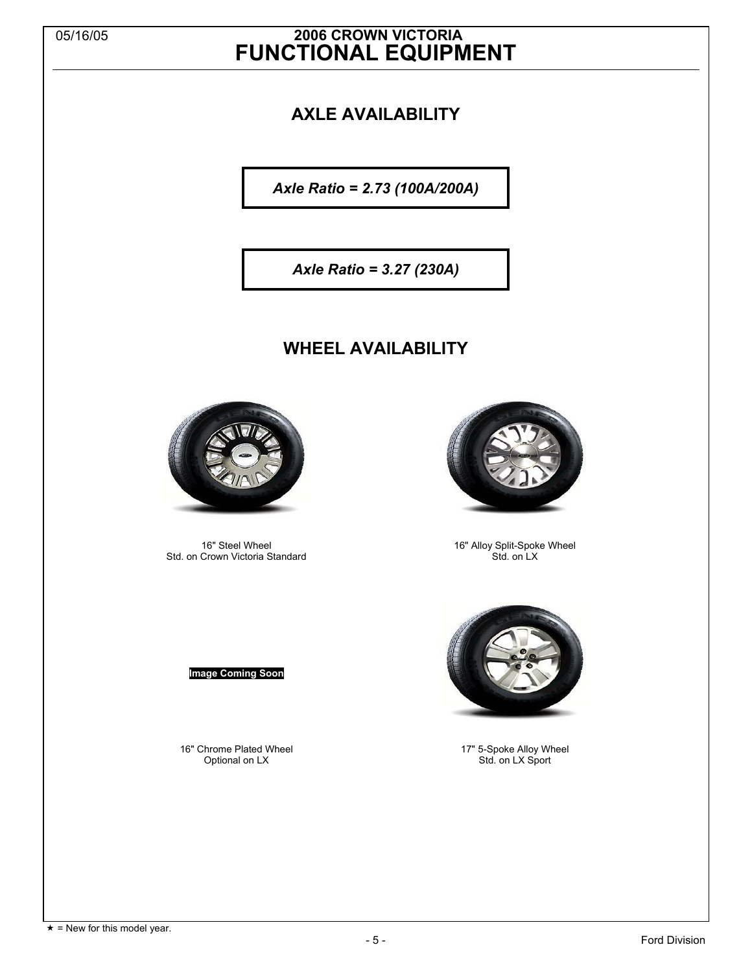## 05/16/05 **2006 CROWN VICTORIA FUNCTIONAL EQUIPMENT**

## **AXLE AVAILABILITY**

*Axle Ratio = 2.73 (100A/200A)* 

*Axle Ratio = 3.27 (230A)* 

## **WHEEL AVAILABILITY**



 16" Steel Wheel Std. on Crown Victoria Standard

### **Image Coming Soon**

 16" Chrome Plated Wheel Optional on LX



 16" Alloy Split-Spoke Wheel Std. on LX



 17" 5-Spoke Alloy Wheel Std. on LX Sport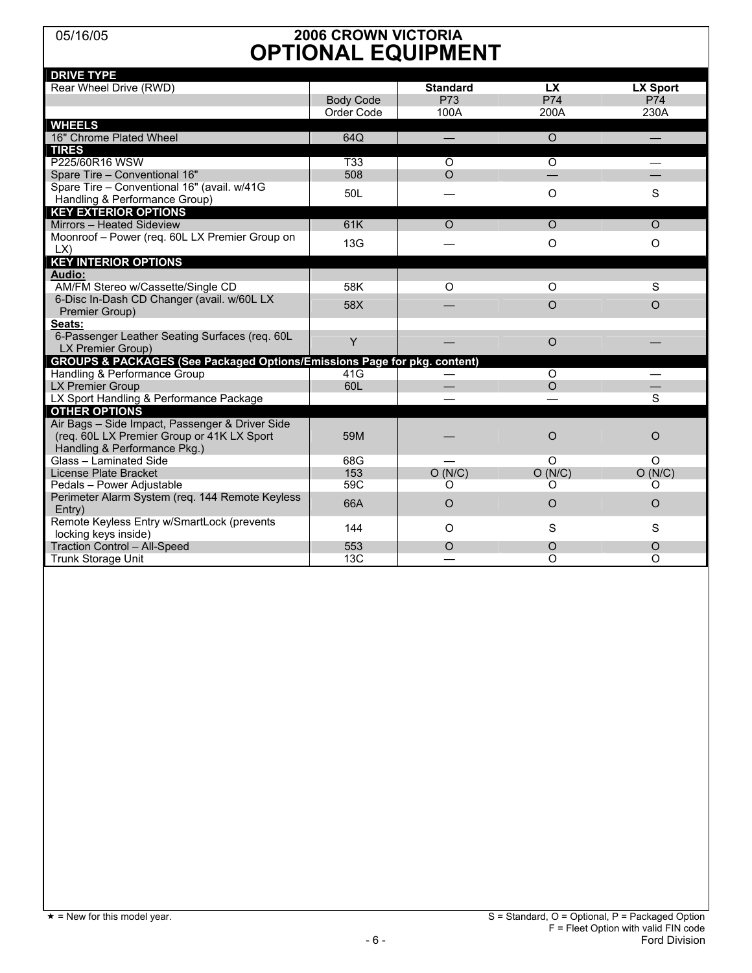## 05/16/05 **2006 CROWN VICTORIA OPTIONAL EQUIPMENT**

| <b>DRIVE TYPE</b>                                                        |                  |                          |           |                 |
|--------------------------------------------------------------------------|------------------|--------------------------|-----------|-----------------|
| Rear Wheel Drive (RWD)                                                   |                  | <b>Standard</b>          | <b>LX</b> | <b>LX Sport</b> |
|                                                                          | <b>Body Code</b> | P73                      | P74       | P74             |
|                                                                          | Order Code       | 100A                     | 200A      | 230A            |
| <b>WHEELS</b>                                                            |                  |                          |           |                 |
| 16" Chrome Plated Wheel                                                  | 64Q              | $\overline{\phantom{0}}$ | $\Omega$  |                 |
| <b>TIRES</b>                                                             |                  |                          |           |                 |
| P225/60R16 WSW                                                           | T <sub>33</sub>  | $\Omega$                 | $\circ$   |                 |
| Spare Tire - Conventional 16"                                            | 508              | $\Omega$                 |           |                 |
| Spare Tire - Conventional 16" (avail. w/41G                              | 50L              |                          | $\circ$   | S               |
| Handling & Performance Group)                                            |                  |                          |           |                 |
| <b>KEY EXTERIOR OPTIONS</b>                                              |                  |                          |           |                 |
| Mirrors - Heated Sideview                                                | 61K              | $\Omega$                 | $\Omega$  | $\Omega$        |
| Moonroof - Power (req. 60L LX Premier Group on                           | 13G              |                          | $\Omega$  | $\Omega$        |
| LX                                                                       |                  |                          |           |                 |
| <b>KEY INTERIOR OPTIONS</b>                                              |                  |                          |           |                 |
| <b>Audio:</b>                                                            |                  |                          |           |                 |
| AM/FM Stereo w/Cassette/Single CD                                        | 58K              | $\circ$                  | $\circ$   | S               |
| 6-Disc In-Dash CD Changer (avail. w/60L LX                               | 58X              |                          | $\circ$   | $\Omega$        |
| Premier Group)                                                           |                  |                          |           |                 |
| Seats:                                                                   |                  |                          |           |                 |
| 6-Passenger Leather Seating Surfaces (req. 60L                           | Y                |                          | $\circ$   |                 |
| LX Premier Group)                                                        |                  |                          |           |                 |
| GROUPS & PACKAGES (See Packaged Options/Emissions Page for pkg. content) |                  |                          |           |                 |
| Handling & Performance Group                                             | 41G              |                          | $\Omega$  |                 |
| <b>LX Premier Group</b>                                                  | 60L              |                          | $\Omega$  |                 |
| LX Sport Handling & Performance Package                                  |                  |                          |           | S               |
| <b>OTHER OPTIONS</b>                                                     |                  |                          |           |                 |
| Air Bags - Side Impact, Passenger & Driver Side                          |                  |                          |           |                 |
| (req. 60L LX Premier Group or 41K LX Sport                               | 59M              |                          | O         | O               |
| Handling & Performance Pkg.)                                             |                  |                          |           |                 |
| Glass - Laminated Side                                                   | 68G              |                          | $\Omega$  | O               |
| License Plate Bracket                                                    | 153              | O(N/C)                   | O(N/C)    | O(N/C)          |
| Pedals - Power Adjustable                                                | 59C              | O                        | O         | O               |
| Perimeter Alarm System (req. 144 Remote Keyless                          | 66A              | $\circ$                  | $\Omega$  | $\circ$         |
| Entrv                                                                    |                  |                          |           |                 |
| Remote Keyless Entry w/SmartLock (prevents                               | 144              | O                        | S         | S               |
| locking keys inside)                                                     |                  |                          |           |                 |
| <b>Traction Control - All-Speed</b>                                      | 553              | $\Omega$                 | O         | O               |
| Trunk Storage Unit                                                       | 13C              |                          | $\Omega$  | $\Omega$        |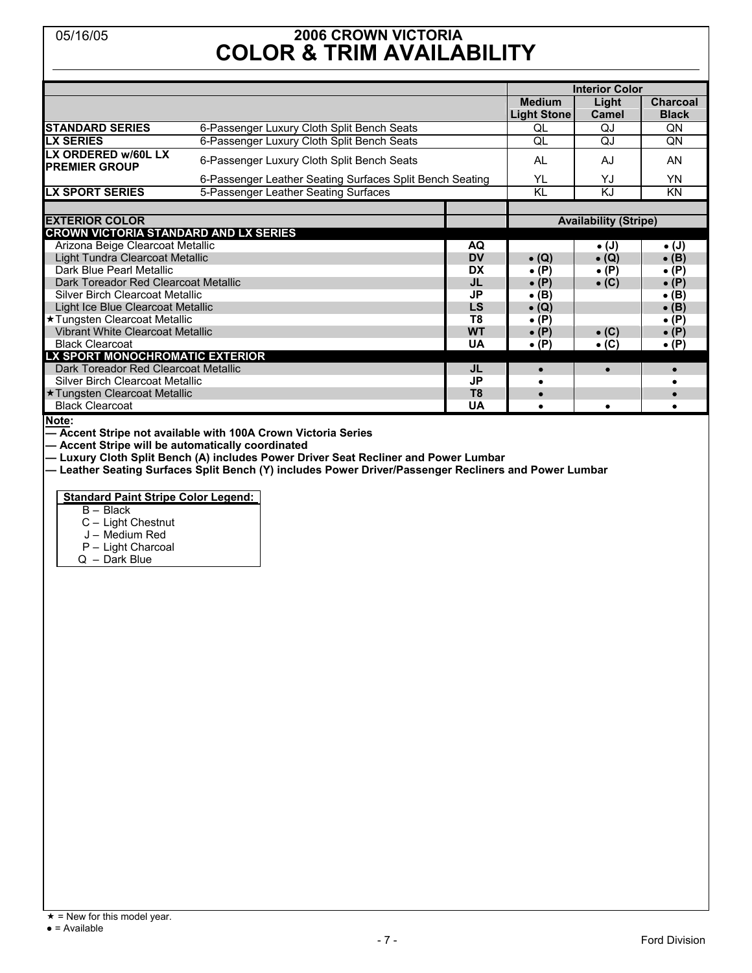## 05/16/05 **2006 CROWN VICTORIA COLOR & TRIM AVAILABILITY**

|                                              |                                                          |                |                                     | <b>Interior Color</b> |                                 |
|----------------------------------------------|----------------------------------------------------------|----------------|-------------------------------------|-----------------------|---------------------------------|
|                                              |                                                          |                | <b>Medium</b><br><b>Light Stone</b> | Light<br><b>Camel</b> | <b>Charcoal</b><br><b>Black</b> |
| <b>STANDARD SERIES</b>                       | 6-Passenger Luxury Cloth Split Bench Seats               |                | QL                                  | QJ                    | QN                              |
| <b>LX SERIES</b>                             | 6-Passenger Luxury Cloth Split Bench Seats               |                | QL                                  | QJ                    | QN                              |
| LX ORDERED w/60L LX<br><b>PREMIER GROUP</b>  | 6-Passenger Luxury Cloth Split Bench Seats               |                | AL                                  | AJ                    | AN                              |
|                                              | 6-Passenger Leather Seating Surfaces Split Bench Seating |                | YL                                  | Y.I                   | <b>YN</b>                       |
| <b>LX SPORT SERIES</b>                       | 5-Passenger Leather Seating Surfaces                     |                | KL                                  | KJ                    | <b>KN</b>                       |
|                                              |                                                          |                |                                     |                       |                                 |
| <b>EXTERIOR COLOR</b>                        |                                                          |                | <b>Availability (Stripe)</b>        |                       |                                 |
| <b>CROWN VICTORIA STANDARD AND LX SERIES</b> |                                                          |                |                                     |                       |                                 |
| Arizona Beige Clearcoat Metallic             |                                                          | AQ             |                                     | $\bullet$ (J)         | $\bullet$ (J)                   |
| Light Tundra Clearcoat Metallic              |                                                          | <b>DV</b>      | $\bullet$ (Q)                       | $\bullet$ (Q)         | $\bullet$ (B)                   |
| Dark Blue Pearl Metallic                     |                                                          | DX             | $\bullet$ (P)                       | $\bullet$ (P)         | $\bullet$ (P)                   |
| Dark Toreador Red Clearcoat Metallic         |                                                          | JL             | $\bullet$ (P)                       | $\bullet$ (C)         | $\bullet$ (P)                   |
| Silver Birch Clearcoat Metallic              |                                                          | JP             | • (B)                               |                       | $\bullet$ (B)                   |
| Light Ice Blue Clearcoat Metallic            |                                                          | LS.            | $\bullet$ (Q)                       |                       | $\bullet$ (B)                   |
| ★ Tungsten Clearcoat Metallic                |                                                          | T8             | $\bullet$ (P)                       |                       | $\bullet$ (P)                   |
| <b>Vibrant White Clearcoat Metallic</b>      |                                                          | <b>WT</b>      | $\bullet$ (P)                       | $\bullet$ (C)         | $\bullet$ (P)                   |
| <b>Black Clearcoat</b>                       |                                                          | <b>UA</b>      | $\bullet$ (P)                       | $\bullet$ (C)         | $\bullet$ (P)                   |
| LX SPORT MONOCHROMATIC EXTERIOR              |                                                          |                |                                     |                       |                                 |
| Dark Toreador Red Clearcoat Metallic         |                                                          | JL             | $\bullet$                           | $\bullet$             | $\bullet$                       |
| Silver Birch Clearcoat Metallic              |                                                          | JP             |                                     |                       |                                 |
| ★ Tungsten Clearcoat Metallic                |                                                          | T <sub>8</sub> | $\bullet$                           |                       |                                 |
| <b>Black Clearcoat</b>                       |                                                          | UA             |                                     | ٠                     |                                 |

**Note:** 

**— Accent Stripe not available with 100A Crown Victoria Series** 

**— Accent Stripe will be automatically coordinated** 

**— Luxury Cloth Split Bench (A) includes Power Driver Seat Recliner and Power Lumbar** 

**— Leather Seating Surfaces Split Bench (Y) includes Power Driver/Passenger Recliners and Power Lumbar** 

**Standard Paint Stripe Color Legend:**

B – Black

C – Light Chestnut

- J Medium Red
- P Light Charcoal
- Q Dark Blue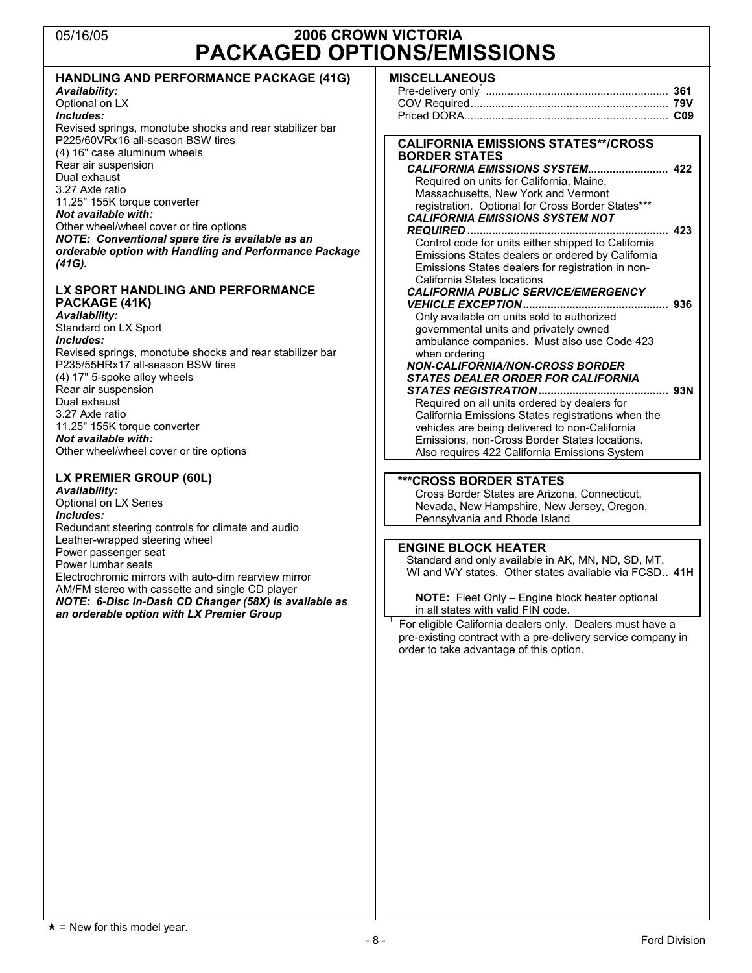## 05/16/05 **2006 CROWN VICTORIA PACKAGED OPTIONS/EMISSIONS**

| <b>HANDLING AND PERFORMANCE PACKAGE (41G)</b>            | <b>MISCELLANEOUS</b>                                         |  |
|----------------------------------------------------------|--------------------------------------------------------------|--|
| Availability:                                            |                                                              |  |
| Optional on LX                                           |                                                              |  |
| Includes:                                                |                                                              |  |
| Revised springs, monotube shocks and rear stabilizer bar |                                                              |  |
| P225/60VRx16 all-season BSW tires                        |                                                              |  |
| (4) 16" case aluminum wheels                             | <b>CALIFORNIA EMISSIONS STATES**/CROSS</b>                   |  |
| Rear air suspension                                      | <b>BORDER STATES</b>                                         |  |
|                                                          |                                                              |  |
| Dual exhaust                                             | Required on units for California, Maine,                     |  |
| 3.27 Axle ratio                                          | Massachusetts, New York and Vermont                          |  |
| 11.25" 155K torque converter                             | registration. Optional for Cross Border States***            |  |
| Not available with:                                      | <b>CALIFORNIA EMISSIONS SYSTEM NOT</b>                       |  |
| Other wheel/wheel cover or tire options                  |                                                              |  |
| NOTE: Conventional spare tire is available as an         | Control code for units either shipped to California          |  |
| orderable option with Handling and Performance Package   | Emissions States dealers or ordered by California            |  |
| (41G).                                                   | Emissions States dealers for registration in non-            |  |
|                                                          | California States locations                                  |  |
| LX SPORT HANDLING AND PERFORMANCE                        | <b>CALIFORNIA PUBLIC SERVICE/EMERGENCY</b>                   |  |
| PACKAGE (41K)                                            |                                                              |  |
| Availability:                                            | Only available on units sold to authorized                   |  |
| Standard on LX Sport                                     | governmental units and privately owned                       |  |
| Includes:                                                | ambulance companies. Must also use Code 423                  |  |
| Revised springs, monotube shocks and rear stabilizer bar | when ordering                                                |  |
| P235/55HRx17 all-season BSW tires                        |                                                              |  |
| (4) 17" 5-spoke alloy wheels                             | <b>NON-CALIFORNIA/NON-CROSS BORDER</b>                       |  |
|                                                          | <b>STATES DEALER ORDER FOR CALIFORNIA</b>                    |  |
| Rear air suspension<br>Dual exhaust                      |                                                              |  |
|                                                          | Required on all units ordered by dealers for                 |  |
| 3.27 Axle ratio                                          | California Emissions States registrations when the           |  |
| 11.25" 155K torque converter                             | vehicles are being delivered to non-California               |  |
| Not available with:                                      | Emissions, non-Cross Border States locations.                |  |
| Other wheel/wheel cover or tire options                  | Also requires 422 California Emissions System                |  |
|                                                          |                                                              |  |
| LX PREMIER GROUP (60L)                                   | <b>***CROSS BORDER STATES</b>                                |  |
| Availability:                                            | Cross Border States are Arizona, Connecticut,                |  |
| Optional on LX Series                                    | Nevada, New Hampshire, New Jersey, Oregon,                   |  |
| Includes:                                                | Pennsylvania and Rhode Island                                |  |
| Redundant steering controls for climate and audio        |                                                              |  |
| Leather-wrapped steering wheel                           | <b>ENGINE BLOCK HEATER</b>                                   |  |
| Power passenger seat                                     |                                                              |  |
| Power lumbar seats                                       | Standard and only available in AK, MN, ND, SD, MT,           |  |
| Electrochromic mirrors with auto-dim rearview mirror     | WI and WY states. Other states available via FCSD 41H        |  |
| AM/FM stereo with cassette and single CD player          |                                                              |  |
| NOTE: 6-Disc In-Dash CD Changer (58X) is available as    | NOTE: Fleet Only - Engine block heater optional              |  |
| an orderable option with LX Premier Group                | in all states with valid FIN code.                           |  |
|                                                          | For eligible California dealers only. Dealers must have a    |  |
|                                                          | pre-existing contract with a pre-delivery service company in |  |
|                                                          | order to take advantage of this option.                      |  |
|                                                          |                                                              |  |
|                                                          |                                                              |  |
|                                                          |                                                              |  |
|                                                          |                                                              |  |
|                                                          |                                                              |  |